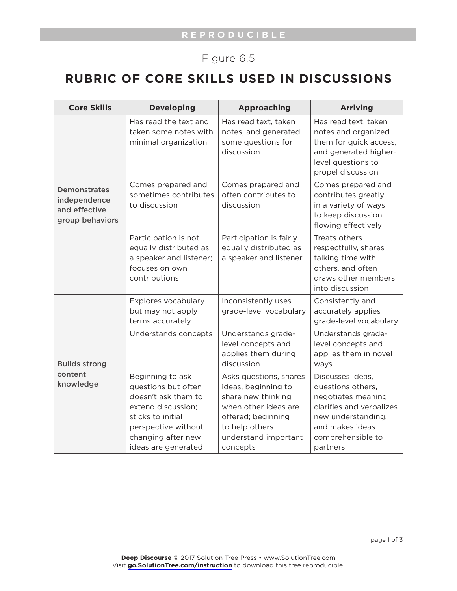## Figure 6.5

## **RUBRIC OF CORE SKILLS USED IN DISCUSSIONS**

| <b>Core Skills</b>                                                      | <b>Developing</b>                                                                                                                                                             | <b>Approaching</b>                                                                                                                                                      | <b>Arriving</b>                                                                                                                                                    |
|-------------------------------------------------------------------------|-------------------------------------------------------------------------------------------------------------------------------------------------------------------------------|-------------------------------------------------------------------------------------------------------------------------------------------------------------------------|--------------------------------------------------------------------------------------------------------------------------------------------------------------------|
| <b>Demonstrates</b><br>independence<br>and effective<br>group behaviors | Has read the text and<br>taken some notes with<br>minimal organization                                                                                                        | Has read text, taken<br>notes, and generated<br>some questions for<br>discussion                                                                                        | Has read text, taken<br>notes and organized<br>them for quick access,<br>and generated higher-<br>level questions to<br>propel discussion                          |
|                                                                         | Comes prepared and<br>sometimes contributes<br>to discussion                                                                                                                  | Comes prepared and<br>often contributes to<br>discussion                                                                                                                | Comes prepared and<br>contributes greatly<br>in a variety of ways<br>to keep discussion<br>flowing effectively                                                     |
|                                                                         | Participation is not<br>equally distributed as<br>a speaker and listener;<br>focuses on own<br>contributions                                                                  | Participation is fairly<br>equally distributed as<br>a speaker and listener                                                                                             | Treats others<br>respectfully, shares<br>talking time with<br>others, and often<br>draws other members<br>into discussion                                          |
| <b>Builds strong</b><br>content<br>knowledge                            | Explores vocabulary<br>but may not apply<br>terms accurately                                                                                                                  | Inconsistently uses<br>grade-level vocabulary                                                                                                                           | Consistently and<br>accurately applies<br>grade-level vocabulary                                                                                                   |
|                                                                         | Understands concepts                                                                                                                                                          | Understands grade-<br>level concepts and<br>applies them during<br>discussion                                                                                           | Understands grade-<br>level concepts and<br>applies them in novel<br>ways                                                                                          |
|                                                                         | Beginning to ask<br>questions but often<br>doesn't ask them to<br>extend discussion;<br>sticks to initial<br>perspective without<br>changing after new<br>ideas are generated | Asks questions, shares<br>ideas, beginning to<br>share new thinking<br>when other ideas are<br>offered; beginning<br>to help others<br>understand important<br>concepts | Discusses ideas,<br>questions others,<br>negotiates meaning,<br>clarifies and verbalizes<br>new understanding,<br>and makes ideas<br>comprehensible to<br>partners |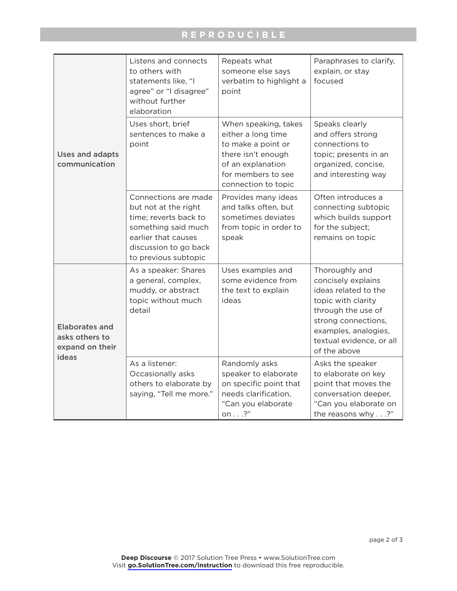## **REPRODUCIBLE**

| <b>Uses and adapts</b><br>communication                             | Listens and connects<br>to others with<br>statements like, "I<br>agree" or "I disagree"<br>without further<br>elaboration                                            | Repeats what<br>someone else says<br>verbatim to highlight a<br>point                                                                                    | Paraphrases to clarify,<br>explain, or stay<br>focused                                                                                                                                              |
|---------------------------------------------------------------------|----------------------------------------------------------------------------------------------------------------------------------------------------------------------|----------------------------------------------------------------------------------------------------------------------------------------------------------|-----------------------------------------------------------------------------------------------------------------------------------------------------------------------------------------------------|
|                                                                     | Uses short, brief<br>sentences to make a<br>point                                                                                                                    | When speaking, takes<br>either a long time<br>to make a point or<br>there isn't enough<br>of an explanation<br>for members to see<br>connection to topic | Speaks clearly<br>and offers strong<br>connections to<br>topic; presents in an<br>organized, concise,<br>and interesting way                                                                        |
|                                                                     | Connections are made<br>but not at the right<br>time; reverts back to<br>something said much<br>earlier that causes<br>discussion to go back<br>to previous subtopic | Provides many ideas<br>and talks often, but<br>sometimes deviates<br>from topic in order to<br>speak                                                     | Often introduces a<br>connecting subtopic<br>which builds support<br>for the subject;<br>remains on topic                                                                                           |
| <b>Elaborates and</b><br>asks others to<br>expand on their<br>ideas | As a speaker: Shares<br>a general, complex,<br>muddy, or abstract<br>topic without much<br>detail                                                                    | Uses examples and<br>some evidence from<br>the text to explain<br>ideas                                                                                  | Thoroughly and<br>concisely explains<br>ideas related to the<br>topic with clarity<br>through the use of<br>strong connections,<br>examples, analogies,<br>textual evidence, or all<br>of the above |
|                                                                     | As a listener:<br>Occasionally asks<br>others to elaborate by<br>saying, "Tell me more."                                                                             | Randomly asks<br>speaker to elaborate<br>on specific point that<br>needs clarification,<br>"Can you elaborate<br>on $\ldots$ ?"                          | Asks the speaker<br>to elaborate on key<br>point that moves the<br>conversation deeper,<br>"Can you elaborate on<br>the reasons why?"                                                               |